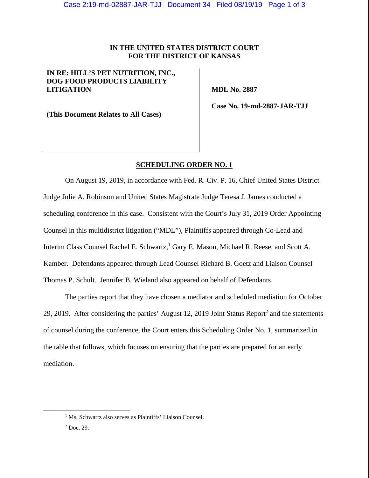## **IN THE UNITED STATES DISTRICT COURT FOR THE DISTRICT OF KANSAS**

# **IN RE: HILL'S PET NUTRITION, INC., DOG FOOD PRODUCTS LIABILITY LITIGATION**

 **MDL No. 2887** 

**(This Document Relates to All Cases)** 

 **Case No. 19-md-2887-JAR-TJJ** 

#### **SCHEDULING ORDER NO. 1**

On August 19, 2019, in accordance with Fed. R. Civ. P. 16, Chief United States District Judge Julie A. Robinson and United States Magistrate Judge Teresa J. James conducted a scheduling conference in this case. Consistent with the Court's July 31, 2019 Order Appointing Counsel in this multidistrict litigation ("MDL"), Plaintiffs appeared through Co-Lead and Interim Class Counsel Rachel E. Schwartz,<sup>1</sup> Gary E. Mason, Michael R. Reese, and Scott A. Kamber. Defendants appeared through Lead Counsel Richard B. Goetz and Liaison Counsel Thomas P. Schult. Jennifer B. Wieland also appeared on behalf of Defendants.

The parties report that they have chosen a mediator and scheduled mediation for October 29, 2019. After considering the parties' August 12, 2019 Joint Status Report<sup>2</sup> and the statements of counsel during the conference, the Court enters this Scheduling Order No. 1, summarized in the table that follows, which focuses on ensuring that the parties are prepared for an early mediation.

<sup>&</sup>lt;u>1</u> <sup>1</sup> Ms. Schwartz also serves as Plaintiffs' Liaison Counsel.

 $2^2$  Doc. 29.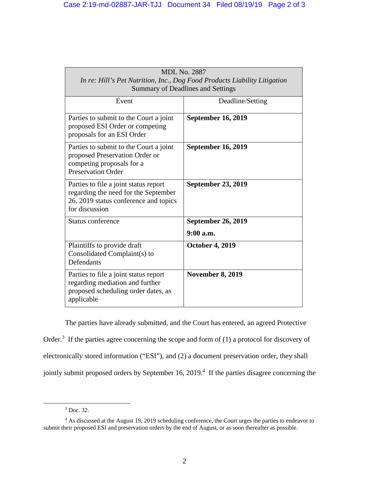| <b>MDL No. 2887</b><br>In re: Hill's Pet Nutrition, Inc., Dog Food Products Liability Litigation<br><b>Summary of Deadlines and Settings</b> |                                        |
|----------------------------------------------------------------------------------------------------------------------------------------------|----------------------------------------|
| Event                                                                                                                                        | Deadline/Setting                       |
| Parties to submit to the Court a joint<br>proposed ESI Order or competing<br>proposals for an ESI Order                                      | <b>September 16, 2019</b>              |
| Parties to submit to the Court a joint<br>proposed Preservation Order or<br>competing proposals for a<br><b>Preservation Order</b>           | <b>September 16, 2019</b>              |
| Parties to file a joint status report<br>regarding the need for the September<br>26, 2019 status conference and topics<br>for discussion     | <b>September 23, 2019</b>              |
| Status conference                                                                                                                            | <b>September 26, 2019</b><br>9:00 a.m. |
| Plaintiffs to provide draft<br>Consolidated Complaint(s) to<br>Defendants                                                                    | <b>October 4, 2019</b>                 |
| Parties to file a joint status report<br>regarding mediation and further<br>proposed scheduling order dates, as<br>applicable                | <b>November 8, 2019</b>                |

The parties have already submitted, and the Court has entered, an agreed Protective Order.<sup>3</sup> If the parties agree concerning the scope and form of  $(1)$  a protocol for discovery of electronically stored information ("ESI"), and (2) a document preservation order, they shall jointly submit proposed orders by September 16, 2019.<sup>4</sup> If the parties disagree concerning the

 $\frac{1}{3}$  $3$  Doc. 32.

<sup>&</sup>lt;sup>4</sup> As discussed at the August 19, 2019 scheduling conference, the Court urges the parties to endeavor to submit their proposed ESI and preservation orders by the end of August, or as soon thereafter as possible.